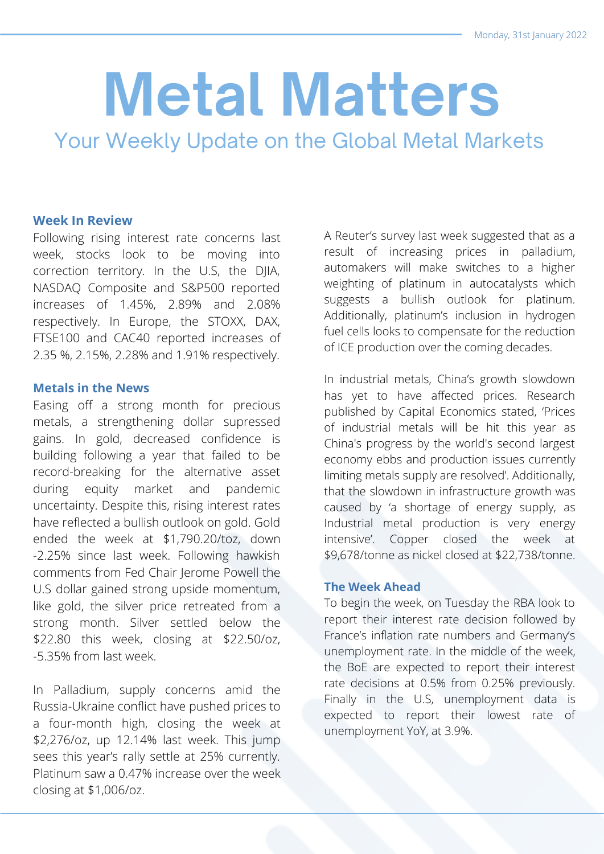# **Metal Matters**

Your Weekly Update on the Global Metal Markets

## **Week In Review**

Following rising interest rate concerns last week, stocks look to be moving into correction territory. In the U.S, the DJIA, NASDAQ Composite and S&P500 reported increases of 1.45%, 2.89% and 2.08% respectively. In Europe, the STOXX, DAX, FTSE100 and CAC40 reported increases of 2.35 %, 2.15%, 2.28% and 1.91% respectively.

## **Metals in the News**

Easing off a strong month for precious metals, a strengthening dollar supressed gains. In gold, decreased confidence is building following a year that failed to be record-breaking for the alternative asset during equity market and pandemic uncertainty. Despite this, rising interest rates have reflected a bullish outlook on gold. Gold ended the week at \$1,790.20/toz, down -2.25% since last week. Following hawkish comments from Fed Chair Jerome Powell the U.S dollar gained strong upside momentum, like gold, the silver price retreated from a strong month. Silver settled below the \$22.80 this week, closing at \$22.50/oz, -5.35% from last week.

In Palladium, supply concerns amid the Russia-Ukraine conflict have pushed prices to a four-month high, closing the week at \$2,276/oz, up 12.14% last week. This jump sees this year's rally settle at 25% currently. Platinum saw a 0.47% increase over the week closing at \$1,006/oz.

A Reuter's survey last week suggested that as a result of increasing prices in palladium, automakers will make switches to a higher weighting of platinum in autocatalysts which suggests a bullish outlook for platinum. Additionally, platinum's inclusion in hydrogen fuel cells looks to compensate for the reduction of ICE production over the coming decades.

In industrial metals, China's growth slowdown has yet to have affected prices. Research published by Capital Economics stated, 'Prices of industrial metals will be hit this year as China's progress by the world's second largest economy ebbs and production issues currently limiting metals supply are resolved'. Additionally, that the slowdown in infrastructure growth was caused by 'a shortage of energy supply, as Industrial metal production is very energy intensive'. Copper closed the week at \$9,678/tonne as nickel closed at \$22,738/tonne.

### **The Week Ahead**

To begin the week, on Tuesday the RBA look to report their interest rate decision followed by France's inflation rate numbers and Germany's unemployment rate. In the middle of the week, the BoE are expected to report their interest rate decisions at 0.5% from 0.25% previously. Finally in the U.S, unemployment data is expected to report their lowest rate of unemployment YoY, at 3.9%.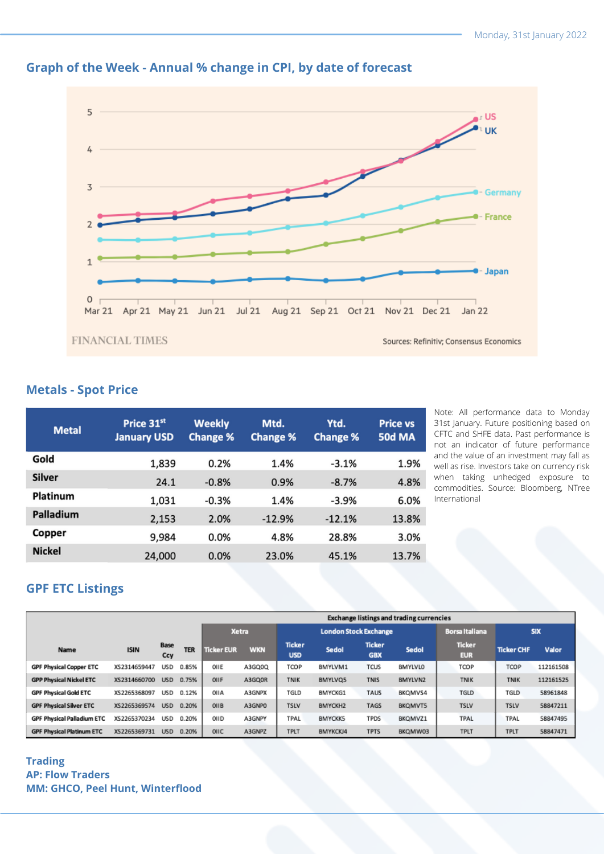

# **Graph of the Week - Annual % change in CPI, by date of forecast**

## **Metals - Spot Price**

| <b>Metal</b>  | Price 31st<br><b>January USD</b> | <b>Weekly</b><br><b>Change %</b> | Mtd.<br><b>Change %</b> | Ytd.<br><b>Change %</b> | <b>Price vs</b><br><b>50d MA</b> |
|---------------|----------------------------------|----------------------------------|-------------------------|-------------------------|----------------------------------|
| Gold          | 1,839                            | 0.2%                             | 1.4%                    | $-3.1%$                 | 1.9%                             |
| Silver        | 24.1                             | $-0.8%$                          | 0.9%                    | $-8.7%$                 | 4.8%                             |
| Platinum      | 1,031                            | $-0.3%$                          | 1.4%                    | $-3.9%$                 | 6.0%                             |
| Palladium     | 2,153                            | 2.0%                             | $-12.9%$                | $-12.1%$                | 13.8%                            |
| Copper        | 9,984                            | 0.0%                             | 4.8%                    | 28.8%                   | 3.0%                             |
| <b>Nickel</b> | 24,000                           | 0.0%                             | 23.0%                   | 45.1%                   | 13.7%                            |

Note: All performance data to Monday 31st January. Future positioning based on CFTC and SHFE data. Past performance is not an indicator of future performance and the value of an investment may fall as well as rise. Investors take on currency risk when taking unhedged exposure to commodities. Source: Bloomberg, NTree International

# **GPF ETC Listings**

|                                   |              |                    |            | <b>Exchange listings and trading currencies</b> |            |                              |                |                             |         |                             |                   |           |
|-----------------------------------|--------------|--------------------|------------|-------------------------------------------------|------------|------------------------------|----------------|-----------------------------|---------|-----------------------------|-------------------|-----------|
|                                   |              |                    |            | <b>Xetra</b>                                    |            | <b>London Stock Exchange</b> |                |                             |         | <b>Borsa Italiana</b>       | <b>SIX</b>        |           |
| <b>Name</b>                       | <b>ISIN</b>  | <b>Base</b><br>Ccy | <b>TER</b> | <b>Ticker EUR</b>                               | <b>WKN</b> | <b>Ticker</b><br><b>USD</b>  | Sedol          | <b>Ticker</b><br><b>GBX</b> | Sedol   | <b>Ticker</b><br><b>EUR</b> | <b>Ticker CHF</b> | Valor     |
| <b>GPF Physical Copper ETC</b>    | XS2314659447 | <b>USD</b>         | 0.85%      | OIIE                                            | A3GQ0Q     | TCOP                         | BMYLVM1        | <b>TCUS</b>                 | BMYLVLO | TCOP                        | TCOP              | 112161508 |
| <b>GPP Physical Nickel ETC</b>    | XS2314660700 | <b>USD</b>         | 0.75%      | OIIF                                            | A3GQ0R     | <b>TNIK</b>                  | BMYLVQ5        | <b>TNIS</b>                 | BMYLVN2 | <b>TNIK</b>                 | <b>TNIK</b>       | 112161525 |
| <b>GPF Physical Gold ETC</b>      | XS2265368097 | USD                | 0.12%      | OIIA                                            | A3GNPX     | TGLD                         | <b>BMYCKG1</b> | <b>TAUS</b>                 | BKQMVS4 | TGLD                        | TGLD              | 58961848  |
| <b>GPF Physical Silver ETC</b>    | XS2265369574 | <b>USD</b>         | 0.20%      | OIIB                                            | A3GNPO     | <b>TSLV</b>                  | BMYCKH2        | <b>TAGS</b>                 | BKQMVT5 | <b>TSLV</b>                 | <b>TSLV</b>       | 58847211  |
| <b>GPF Physical Palladium ETC</b> | XS2265370234 | <b>USD</b>         | 0.20%      | OIID                                            | A3GNPY     | TPAL                         | <b>BMYCKK5</b> | <b>TPDS</b>                 | BKQMVZ1 | <b>TPAL</b>                 | TPAL              | 58847495  |
| <b>GPF Physical Platinum ETC</b>  | XS2265369731 | <b>USD</b>         | 0.20%      | OIIC                                            | A3GNPZ     | <b>TPLT</b>                  | BMYKCKJ4       | <b>TPTS</b>                 | BKQMW03 | <b>TPLT</b>                 | TPLT              | 58847471  |

### **Trading AP: Flow Traders MM: GHCO, Peel Hunt, Winterflood**